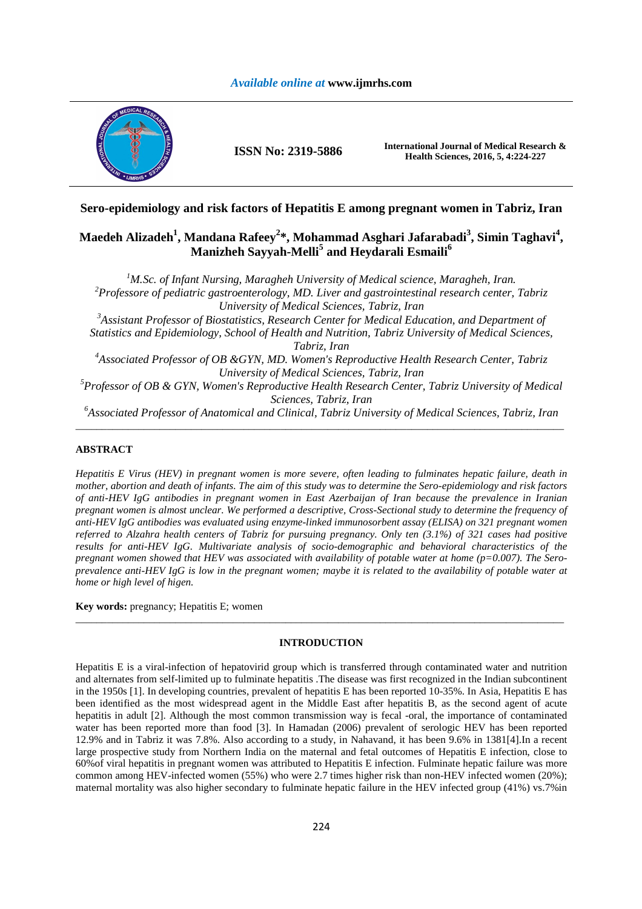

**ISSN No: 2319-5886 International Journal of Medical Research & Health Sciences, 2016, 5, 4:224-227** 

## **Sero-epidemiology and risk factors of Hepatitis E among pregnant women in Tabriz, Iran**

# **Maedeh Alizadeh<sup>1</sup> , Mandana Rafeey<sup>2</sup> \*, Mohammad Asghari Jafarabadi<sup>3</sup> , Simin Taghavi<sup>4</sup> , Manizheh Sayyah-Melli<sup>5</sup> and Heydarali Esmaili<sup>6</sup>**

<sup>1</sup>*M.Sc. of Infant Nursing, Maragheh University of Medical science, Maragheh, Iran. <sup>2</sup>Professore of pediatric gastroenterology, MD. Liver and gastrointestinal research center, Tabriz University of Medical Sciences, Tabriz, Iran <sup>3</sup>Assistant Professor of Biostatistics, Research Center for Medical Education, and Department of Statistics and Epidemiology, School of Health and Nutrition, Tabriz University of Medical Sciences, Tabriz, Iran <sup>4</sup>Associated Professor of OB &GYN, MD. Women's Reproductive Health Research Center, Tabriz University of Medical Sciences, Tabriz, Iran <sup>5</sup>Professor of OB & GYN, Women's Reproductive Health Research Center, Tabriz University of Medical Sciences, Tabriz, Iran* 

*<sup>6</sup>Associated Professor of Anatomical and Clinical, Tabriz University of Medical Sciences, Tabriz, Iran*  \_\_\_\_\_\_\_\_\_\_\_\_\_\_\_\_\_\_\_\_\_\_\_\_\_\_\_\_\_\_\_\_\_\_\_\_\_\_\_\_\_\_\_\_\_\_\_\_\_\_\_\_\_\_\_\_\_\_\_\_\_\_\_\_\_\_\_\_\_\_\_\_\_\_\_\_\_\_\_\_\_\_\_\_\_\_\_\_\_\_\_\_\_

## **ABSTRACT**

*Hepatitis E Virus (HEV) in pregnant women is more severe, often leading to fulminates hepatic failure, death in mother, abortion and death of infants. The aim of this study was to determine the Sero-epidemiology and risk factors of anti-HEV IgG antibodies in pregnant women in East Azerbaijan of Iran because the prevalence in Iranian pregnant women is almost unclear. We performed a descriptive, Cross-Sectional study to determine the frequency of anti-HEV IgG antibodies was evaluated using enzyme-linked immunosorbent assay (ELISA) on 321 pregnant women referred to Alzahra health centers of Tabriz for pursuing pregnancy. Only ten (3.1%) of 321 cases had positive results for anti-HEV IgG. Multivariate analysis of socio-demographic and behavioral characteristics of the pregnant women showed that HEV was associated with availability of potable water at home (p=0.007). The Seroprevalence anti-HEV IgG is low in the pregnant women; maybe it is related to the availability of potable water at home or high level of higen.* 

**Key words:** pregnancy; Hepatitis E; women

## **INTRODUCTION**

\_\_\_\_\_\_\_\_\_\_\_\_\_\_\_\_\_\_\_\_\_\_\_\_\_\_\_\_\_\_\_\_\_\_\_\_\_\_\_\_\_\_\_\_\_\_\_\_\_\_\_\_\_\_\_\_\_\_\_\_\_\_\_\_\_\_\_\_\_\_\_\_\_\_\_\_\_\_\_\_\_\_\_\_\_\_\_\_\_\_\_\_\_

Hepatitis E is a viral-infection of hepatovirid group which is transferred through contaminated water and nutrition and alternates from self-limited up to fulminate hepatitis .The disease was first recognized in the Indian subcontinent in the 1950s [1]. In developing countries, prevalent of hepatitis E has been reported 10-35%. In Asia, Hepatitis E has been identified as the most widespread agent in the Middle East after hepatitis B, as the second agent of acute hepatitis in adult [2]. Although the most common transmission way is fecal -oral, the importance of contaminated water has been reported more than food [3]. In Hamadan (2006) prevalent of serologic HEV has been reported 12.9% and in Tabriz it was 7.8%. Also according to a study, in Nahavand, it has been 9.6% in 1381[4].In a recent large prospective study from Northern India on the maternal and fetal outcomes of Hepatitis E infection, close to 60%of viral hepatitis in pregnant women was attributed to Hepatitis E infection. Fulminate hepatic failure was more common among HEV-infected women (55%) who were 2.7 times higher risk than non-HEV infected women (20%); maternal mortality was also higher secondary to fulminate hepatic failure in the HEV infected group (41%) vs.7%in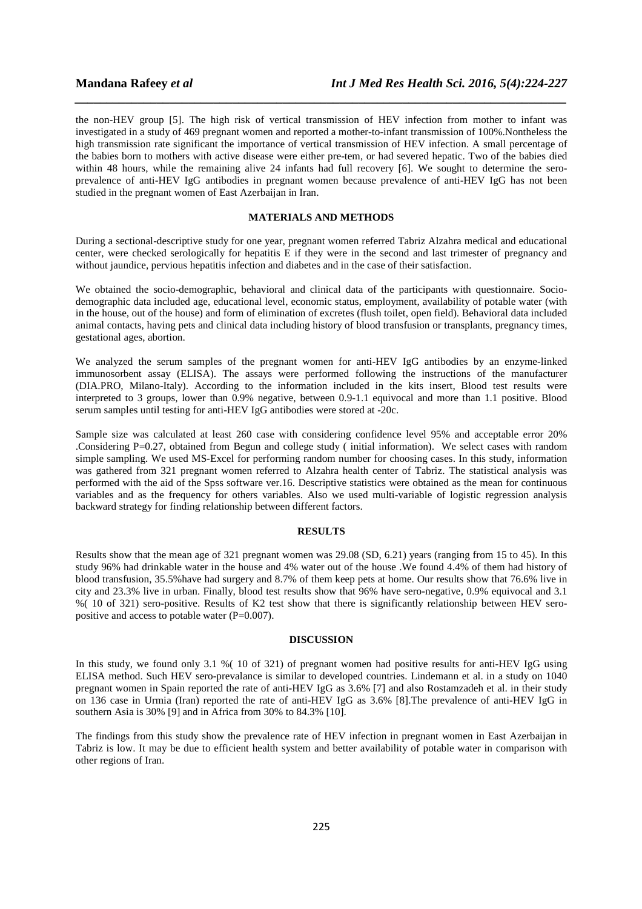the non-HEV group [5]. The high risk of vertical transmission of HEV infection from mother to infant was investigated in a study of 469 pregnant women and reported a mother-to-infant transmission of 100%.Nontheless the high transmission rate significant the importance of vertical transmission of HEV infection. A small percentage of the babies born to mothers with active disease were either pre-tem, or had severed hepatic. Two of the babies died within 48 hours, while the remaining alive 24 infants had full recovery [6]. We sought to determine the seroprevalence of anti-HEV IgG antibodies in pregnant women because prevalence of anti-HEV IgG has not been studied in the pregnant women of East Azerbaijan in Iran.

*\_\_\_\_\_\_\_\_\_\_\_\_\_\_\_\_\_\_\_\_\_\_\_\_\_\_\_\_\_\_\_\_\_\_\_\_\_\_\_\_\_\_\_\_\_\_\_\_\_\_\_\_\_\_\_\_\_\_\_\_\_\_\_\_\_\_\_\_\_\_\_\_\_\_\_\_\_\_*

## **MATERIALS AND METHODS**

During a sectional-descriptive study for one year, pregnant women referred Tabriz Alzahra medical and educational center, were checked serologically for hepatitis E if they were in the second and last trimester of pregnancy and without jaundice, pervious hepatitis infection and diabetes and in the case of their satisfaction.

We obtained the socio-demographic, behavioral and clinical data of the participants with questionnaire. Sociodemographic data included age, educational level, economic status, employment, availability of potable water (with in the house, out of the house) and form of elimination of excretes (flush toilet, open field). Behavioral data included animal contacts, having pets and clinical data including history of blood transfusion or transplants, pregnancy times, gestational ages, abortion.

We analyzed the serum samples of the pregnant women for anti-HEV IgG antibodies by an enzyme-linked immunosorbent assay (ELISA). The assays were performed following the instructions of the manufacturer (DIA.PRO, Milano-Italy). According to the information included in the kits insert, Blood test results were interpreted to 3 groups, lower than 0.9% negative, between 0.9-1.1 equivocal and more than 1.1 positive. Blood serum samples until testing for anti-HEV IgG antibodies were stored at -20c.

Sample size was calculated at least 260 case with considering confidence level 95% and acceptable error 20% .Considering P=0.27, obtained from Begun and college study ( initial information). We select cases with random simple sampling. We used MS-Excel for performing random number for choosing cases. In this study, information was gathered from 321 pregnant women referred to Alzahra health center of Tabriz. The statistical analysis was performed with the aid of the Spss software ver.16. Descriptive statistics were obtained as the mean for continuous variables and as the frequency for others variables. Also we used multi-variable of logistic regression analysis backward strategy for finding relationship between different factors.

#### **RESULTS**

Results show that the mean age of 321 pregnant women was 29.08 (SD, 6.21) years (ranging from 15 to 45). In this study 96% had drinkable water in the house and 4% water out of the house .We found 4.4% of them had history of blood transfusion, 35.5%have had surgery and 8.7% of them keep pets at home. Our results show that 76.6% live in city and 23.3% live in urban. Finally, blood test results show that 96% have sero-negative, 0.9% equivocal and 3.1 %( 10 of 321) sero-positive. Results of K2 test show that there is significantly relationship between HEV seropositive and access to potable water (P=0.007).

### **DISCUSSION**

In this study, we found only 3.1 %( 10 of 321) of pregnant women had positive results for anti-HEV IgG using ELISA method. Such HEV sero-prevalance is similar to developed countries. Lindemann et al. in a study on 1040 pregnant women in Spain reported the rate of anti-HEV IgG as 3.6% [7] and also Rostamzadeh et al. in their study on 136 case in Urmia (Iran) reported the rate of anti-HEV IgG as 3.6% [8].The prevalence of anti-HEV IgG in southern Asia is 30% [9] and in Africa from 30% to 84.3% [10].

The findings from this study show the prevalence rate of HEV infection in pregnant women in East Azerbaijan in Tabriz is low. It may be due to efficient health system and better availability of potable water in comparison with other regions of Iran.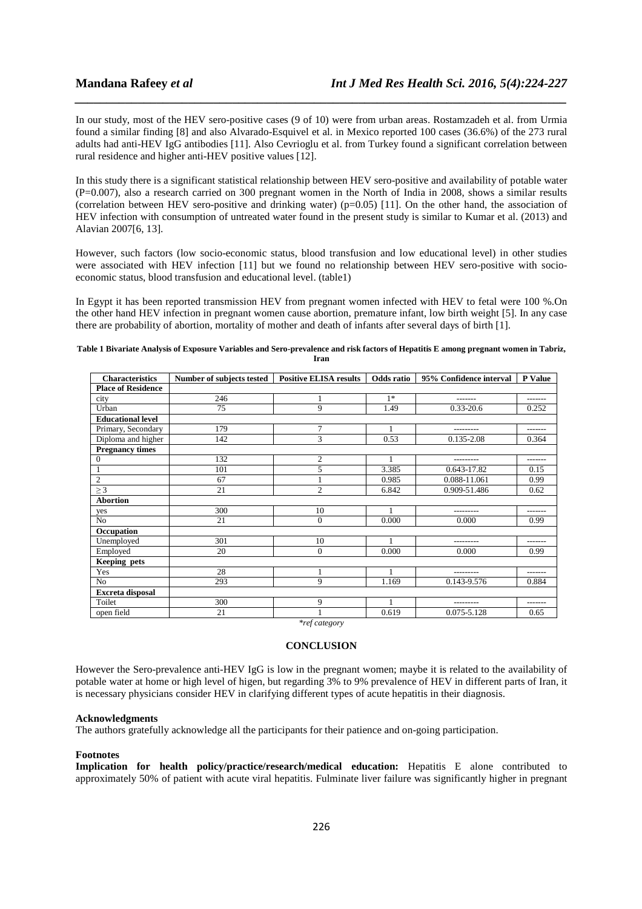In our study, most of the HEV sero-positive cases (9 of 10) were from urban areas. Rostamzadeh et al. from Urmia found a similar finding [8] and also Alvarado-Esquivel et al. in Mexico reported 100 cases (36.6%) of the 273 rural adults had anti-HEV IgG antibodies [11]. Also Cevrioglu et al. from Turkey found a significant correlation between rural residence and higher anti-HEV positive values [12].

*\_\_\_\_\_\_\_\_\_\_\_\_\_\_\_\_\_\_\_\_\_\_\_\_\_\_\_\_\_\_\_\_\_\_\_\_\_\_\_\_\_\_\_\_\_\_\_\_\_\_\_\_\_\_\_\_\_\_\_\_\_\_\_\_\_\_\_\_\_\_\_\_\_\_\_\_\_\_*

In this study there is a significant statistical relationship between HEV sero-positive and availability of potable water (P=0.007), also a research carried on 300 pregnant women in the North of India in 2008, shows a similar results (correlation between HEV sero-positive and drinking water) (p=0.05) [11]. On the other hand, the association of HEV infection with consumption of untreated water found in the present study is similar to Kumar et al. (2013) and Alavian 2007[6, 13].

However, such factors (low socio-economic status, blood transfusion and low educational level) in other studies were associated with HEV infection [11] but we found no relationship between HEV sero-positive with socioeconomic status, blood transfusion and educational level. (table1)

In Egypt it has been reported transmission HEV from pregnant women infected with HEV to fetal were 100 %.On the other hand HEV infection in pregnant women cause abortion, premature infant, low birth weight [5]. In any case there are probability of abortion, mortality of mother and death of infants after several days of birth [1].

#### **Table 1 Bivariate Analysis of Exposure Variables and Sero-prevalence and risk factors of Hepatitis E among pregnant women in Tabriz, Iran**

| <b>Characteristics</b>    | Number of subjects tested | <b>Positive ELISA results</b> | Odds ratio | 95% Confidence interval | <b>P</b> Value |
|---------------------------|---------------------------|-------------------------------|------------|-------------------------|----------------|
| <b>Place of Residence</b> |                           |                               |            |                         |                |
| city                      | 246                       |                               | $1*$       | -------                 | -------        |
| Urban                     | 75                        | 9                             | 1.49       | $0.33 - 20.6$           | 0.252          |
| <b>Educational level</b>  |                           |                               |            |                         |                |
| Primary, Secondary        | 179                       | $\overline{7}$                | 1          | ---------               | -------        |
| Diploma and higher        | 142                       | 3                             | 0.53       | 0.135-2.08              | 0.364          |
| <b>Pregnancy times</b>    |                           |                               |            |                         |                |
| $\mathbf{0}$              | 132                       | 2                             | 1          |                         | -------        |
| 1                         | 101                       | 5                             | 3.385      | 0.643-17.82             | 0.15           |
| $\overline{2}$            | 67                        |                               | 0.985      | 0.088-11.061            | 0.99           |
| $\geq$ 3                  | 21                        | $\overline{2}$                | 6.842      | 0.909-51.486            | 0.62           |
| <b>Abortion</b>           |                           |                               |            |                         |                |
| yes                       | 300                       | 10                            |            |                         | -------        |
| No                        | 21                        | $\mathbf{0}$                  | 0.000      | 0.000                   | 0.99           |
| Occupation                |                           |                               |            |                         |                |
| Unemployed                | 301                       | 10                            | 1          | ---------               | --------       |
| Employed                  | 20                        | $\mathbf{0}$                  | 0.000      | 0.000                   | 0.99           |
| Keeping pets              |                           |                               |            |                         |                |
| Yes                       | 28                        |                               | 1          | ---------               | -------        |
| N <sub>0</sub>            | 293                       | 9                             | 1.169      | 0.143-9.576             | 0.884          |
| Excreta disposal          |                           |                               |            |                         |                |
| Toilet                    | 300                       | 9                             |            | ---------               | -------        |
| open field                | 21                        |                               | 0.619      | 0.075-5.128             | 0.65           |

*\*ref category* 

## **CONCLUSION**

However the Sero-prevalence anti-HEV IgG is low in the pregnant women; maybe it is related to the availability of potable water at home or high level of higen, but regarding 3% to 9% prevalence of HEV in different parts of Iran, it is necessary physicians consider HEV in clarifying different types of acute hepatitis in their diagnosis.

#### **Acknowledgments**

The authors gratefully acknowledge all the participants for their patience and on-going participation.

### **Footnotes**

**Implication for health policy/practice/research/medical education:** Hepatitis E alone contributed to approximately 50% of patient with acute viral hepatitis. Fulminate liver failure was significantly higher in pregnant